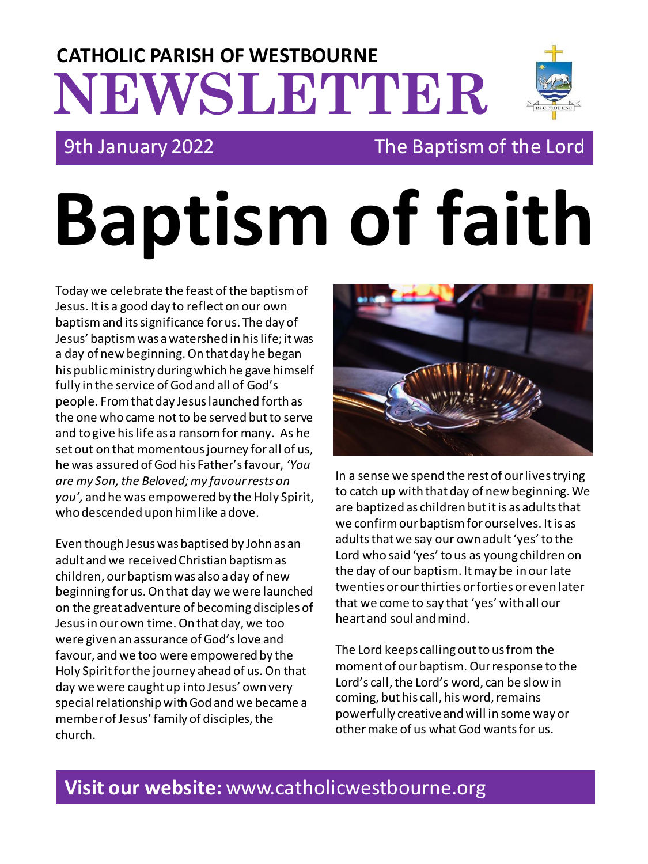## **NEWSLETTER CATHOLIC PARISH OF WESTBOURNE**

## 9th January 2022 The Baptism of the Lord

# **Baptism of faith**

Today we celebrate the feast of the baptism of Jesus. It is a good day to reflect on our own baptism and its significance for us. The day of Jesus' baptism was a watershed in his life; it was a day of new beginning. On that day he began his public ministry during which he gave himself fully in the service of God and all of God's people. From that day Jesus launched forth as the one who came not to be served but to serve and to give his life as a ransom for many. As he set out on that momentous journey for all of us, he was assured of God his Father's favour, *'You are my Son, the Beloved; my favour rests on you',* and he was empowered by the Holy Spirit, who descended upon him like a dove.

Even though Jesus was baptised by John as an adult and we received Christian baptism as children, our baptism was also a day of new beginning for us. On that day we were launched on the great adventure of becoming disciples of Jesus in our own time. On that day, we too were given an assurance of God's love and favour, and we too were empowered by the Holy Spirit for the journey ahead of us. On that day we were caught up into Jesus' own very special relationship with God and we became a member of Jesus' family of disciples, the church.



In a sense we spend the rest of our lives trying to catch up with that day of new beginning. We are baptized as children but it is as adults that we confirm our baptism for ourselves. It is as adults that we say our own adult 'yes' to the Lord who said 'yes' to us as young children on the day of our baptism. It may be in our late twenties or our thirties or forties or even later that we come to say that 'yes' with all our heart and soul and mind.

The Lord keeps calling out to us from the moment of our baptism. Our response to the Lord's call, the Lord's word, can be slow in coming, but his call, his word, remains powerfully creative and will in some way or other make of us what God wants for us.

## **Visit our website:** www.catholicwestbourne.org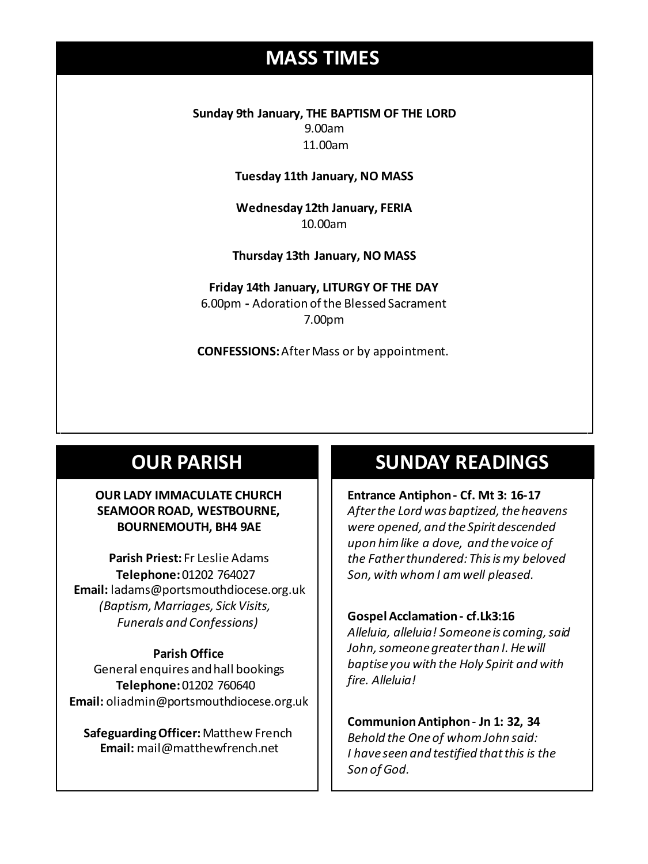## **MASS TIMES**

**Sunday 9th January, THE BAPTISM OF THE LORD** 9.00am 11.00am

**Tuesday 11th January, NO MASS**

**Wednesday 12th January, FERIA** 10.00am

**Wednesday 14th** *Repose of the souls of Bernard Charles and Elsie May Pratt* **Thursday 13th January, NO MASS Saturday 16th** *Rosemarie Schofield RIP*

**Friday 14th January, LITURGY OF THE DAY** 6.00pm **-** Adoration of the Blessed Sacrament 7.00pm

**CONFESSIONS:**After Mass or by appointment.

## **OUR PARISH**

#### **OUR LADY IMMACULATE CHURCH SEAMOOR ROAD, WESTBOURNE, BOURNEMOUTH, BH4 9AE**

**Parish Priest:** Fr Leslie Adams **Telephone:**01202 764027 **Email:** ladams@portsmouthdiocese.org.uk *(Baptism, Marriages, Sick Visits, Funerals and Confessions)*

#### **Parish Office**

General enquires andhall bookings **Telephone:**01202 760640 **Email:** oliadmin@portsmouthdiocese.org.uk

**Safeguarding Officer:** Matthew French **Email:** mail@matthewfrench.net

### **SUNDAY READINGS**

**Entrance Antiphon - Cf. Mt 3: 16-17** *After the Lord was baptized, the heavens were opened, and the Spirit descended upon him like a dove, and the voice of the Father thundered: This is my beloved Son, with whom I am well pleased.* 

#### **Gospel Acclamation - cf.Lk3:16**

*Alleluia, alleluia! Someone is coming, said John, someone greater than I.He will baptise you with the Holy Spirit and with fire. Alleluia!*

**Communion Antiphon**- **Jn 1: 32, 34** *Behold the One of whom John said: I have seen and testified that this is the Son of God.*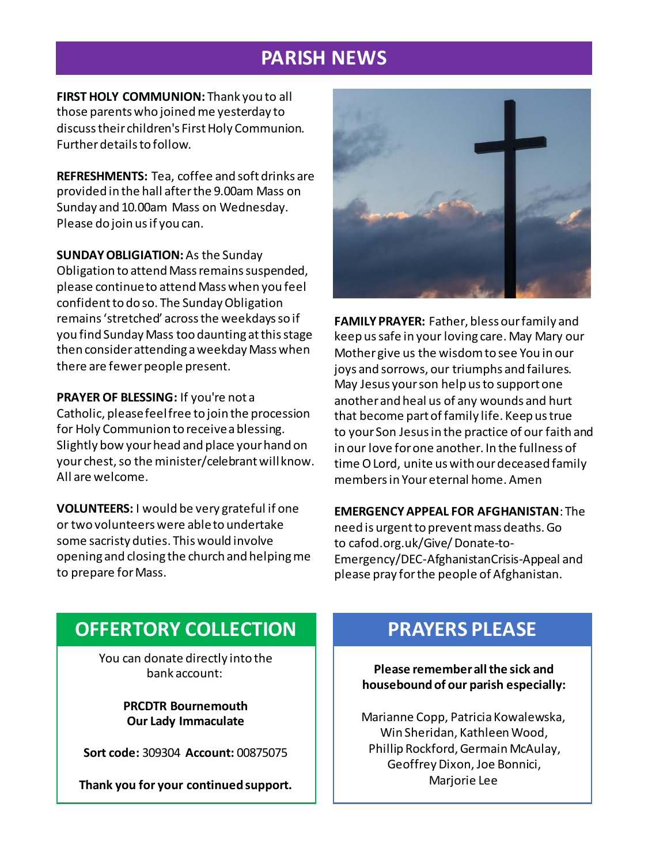## **PARISH NEWS**

**FIRST HOLY COMMUNION:** Thank you to all those parents who joined me yesterday to discuss their children's First Holy Communion. Further details to follow.

**REFRESHMENTS:** Tea, coffee and soft drinks are provided in the hall after the 9.00am Mass on Sunday and 10.00am Mass on Wednesday. Please do join us if you can.

**SUNDAY OBLIGIATION:**As the Sunday Obligation to attend Mass remains suspended, please continue to attend Mass when you feel confident to do so. The Sunday Obligation remains 'stretched' across the weekdays so if you find Sunday Mass too daunting at this stage then consider attending a weekday Mass when there are fewer people present.

**PRAYER OF BLESSING:** If you're not a Catholic, please feel free to join the procession for Holy Communion to receive a blessing. Slightly bow your head and place your hand on your chest, so the minister/celebrant will know. All are welcome.

**VOLUNTEERS:** I would be very grateful if one or two volunteers were able to undertake some sacristy duties. This would involve opening and closing the church and helping me to prepare for Mass.



**FAMILY PRAYER:** Father, bless our family and keep ussafe in your loving care. May Mary our Mother give us the wisdom to see You in our joys and sorrows, our triumphs and failures. May Jesus your son help us to support one another and heal us of any wounds and hurt that become part of family life. Keep us true to your Son Jesus in the practice of our faith and in our love for one another. In the fullness of time O Lord, unite us with our deceased family members in Your eternal home. Amen

#### **EMERGENCY APPEAL FOR AFGHANISTAN**: The

need is urgent to prevent mass deaths. Go to cafod.org.uk/Give/ Donate-to-Emergency/DEC-AfghanistanCrisis-Appeal and please pray for the people of Afghanistan.

## **OFFERTORY COLLECTION**

You can donate directly into the bank account:

> **PRCDTR Bournemouth Our Lady Immaculate**

**Sort code:** 309304 **Account:** 00875075

**Thank you for your continued support.**

## **PRAYERS PLEASE**

**Please remember all the sick and housebound of our parish especially:**

Marianne Copp, Patricia Kowalewska, Win Sheridan, Kathleen Wood, Phillip Rockford, Germain McAulay, Geoffrey Dixon, Joe Bonnici, Marjorie Lee